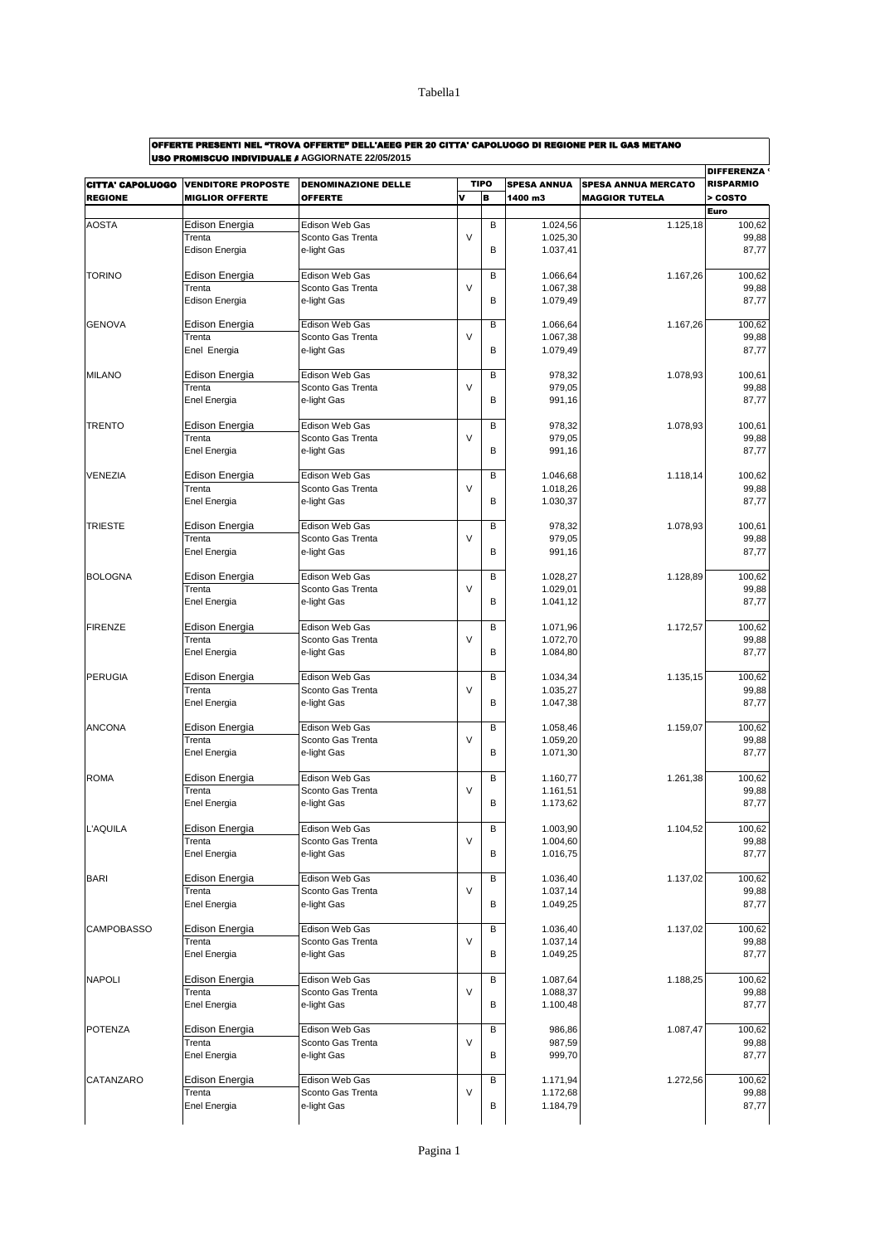$\overline{\phantom{a}}$ 

| OFFERTE PRESENTI NEL "TROVA OFFERTE" DELL'AEEG PER 20 CITTA' CAPOLUOGO DI REGIONE PER IL GAS METANO |
|-----------------------------------------------------------------------------------------------------|
| HAA BRAMHAAHA INBINIBULLE LACCIODNATE 22/05/2015                                                    |

| <b>CITTA' CAPOLUOGO</b> | <b>VENDITORE PROPOSTE</b>       | <b>DENOMINAZIONE DELLE</b>          | <b>TIPO</b> |   | <b>SPESA ANNUA</b>   | <b>SPESA ANNUA MERCATO</b> | <b>DIFFERENZA</b><br><b>RISPARMIO</b> |
|-------------------------|---------------------------------|-------------------------------------|-------------|---|----------------------|----------------------------|---------------------------------------|
| <b>REGIONE</b>          | <b>MIGLIOR OFFERTE</b>          | <b>OFFERTE</b>                      | v           | B | 1400 m3              | <b>MAGGIOR TUTELA</b>      | > COSTO                               |
|                         |                                 |                                     |             |   |                      |                            | Euro                                  |
| <b>AOSTA</b>            | <b>Edison Energia</b>           | Edison Web Gas                      |             | B | 1.024,56             | 1.125,18                   | 100,62                                |
|                         | Trenta<br><b>Edison Energia</b> | Sconto Gas Trenta                   | V           | B | 1.025,30             |                            | 99,88<br>87,77                        |
|                         |                                 | e-light Gas                         |             |   | 1.037,41             |                            |                                       |
| <b>TORINO</b>           | Edison Energia                  | Edison Web Gas                      |             | B | 1.066,64             | 1.167,26                   | 100,62                                |
|                         | Trenta                          | Sconto Gas Trenta                   | V           |   | 1.067,38             |                            | 99,88                                 |
|                         | <b>Edison Energia</b>           | e-light Gas                         |             | B | 1.079,49             |                            | 87,77                                 |
| <b>GENOVA</b>           | Edison Energia                  | Edison Web Gas                      |             | B | 1.066,64             | 1.167,26                   | 100,62                                |
|                         | Trenta                          | Sconto Gas Trenta                   | V           |   | 1.067,38             |                            | 99,88                                 |
|                         | Enel Energia                    | e-light Gas                         |             | B | 1.079,49             |                            | 87,77                                 |
|                         |                                 |                                     |             |   |                      |                            |                                       |
| <b>MILANO</b>           | Edison Energia                  | Edison Web Gas                      |             | B | 978,32               | 1.078,93                   | 100,61                                |
|                         | Trenta                          | Sconto Gas Trenta                   | V           | B | 979,05               |                            | 99,88                                 |
|                         | Enel Energia                    | e-light Gas                         |             |   | 991,16               |                            | 87,77                                 |
| <b>TRENTO</b>           | Edison Energia                  | Edison Web Gas                      |             | B | 978,32               | 1.078,93                   | 100,61                                |
|                         | Trenta                          | Sconto Gas Trenta                   | $\vee$      |   | 979,05               |                            | 99,88                                 |
|                         | Enel Energia                    | e-light Gas                         |             | B | 991,16               |                            | 87,77                                 |
|                         |                                 |                                     |             |   |                      |                            |                                       |
| VENEZIA                 | Edison Energia<br>Trenta        | Edison Web Gas                      | $\vee$      | B | 1.046,68             | 1.118.14                   | 100,62                                |
|                         | Enel Energia                    | Sconto Gas Trenta<br>e-light Gas    |             | B | 1.018,26<br>1.030,37 |                            | 99,88<br>87,77                        |
|                         |                                 |                                     |             |   |                      |                            |                                       |
| <b>TRIESTE</b>          | Edison Energia                  | Edison Web Gas                      |             | B | 978,32               | 1.078,93                   | 100,61                                |
|                         | Trenta                          | Sconto Gas Trenta                   | $\vee$      |   | 979,05               |                            | 99,88                                 |
|                         | Enel Energia                    | e-light Gas                         |             | В | 991,16               |                            | 87,77                                 |
|                         |                                 |                                     |             |   |                      |                            | 100.62                                |
| <b>BOLOGNA</b>          | Edison Energia<br>Trenta        | Edison Web Gas<br>Sconto Gas Trenta | V           | B | 1.028,27<br>1.029,01 | 1.128.89                   | 99,88                                 |
|                         | Enel Energia                    | e-light Gas                         |             | B | 1.041,12             |                            | 87,77                                 |
|                         |                                 |                                     |             |   |                      |                            |                                       |
| <b>FIRENZE</b>          | Edison Energia                  | Edison Web Gas                      |             | B | 1.071,96             | 1.172,57                   | 100,62                                |
|                         | Trenta                          | Sconto Gas Trenta                   | $\vee$      |   | 1.072,70             |                            | 99,88                                 |
|                         | Enel Energia                    | e-light Gas                         |             | B | 1.084,80             |                            | 87,77                                 |
| <b>PERUGIA</b>          | Edison Energia                  | Edison Web Gas                      |             | B | 1.034,34             | 1.135,15                   | 100,62                                |
|                         | Trenta                          | Sconto Gas Trenta                   | V           |   | 1.035,27             |                            | 99,88                                 |
|                         | Enel Energia                    | e-light Gas                         |             | B | 1.047,38             |                            | 87,77                                 |
|                         |                                 |                                     |             |   |                      |                            |                                       |
| <b>ANCONA</b>           | Edison Energia                  | Edison Web Gas                      |             | B | 1.058,46             | 1.159,07                   | 100.62                                |
|                         | Trenta                          | Sconto Gas Trenta                   | V           | B | 1.059,20             |                            | 99,88                                 |
|                         | Enel Energia                    | e-light Gas                         |             |   | 1.071,30             |                            | 87,77                                 |
| <b>ROMA</b>             | <b>Edison Energia</b>           | Edison Web Gas                      |             | B | 1.160,77             | 1.261.38                   | 100,62                                |
|                         | Trenta                          | Sconto Gas Trenta                   | V           |   | 1.161,51             |                            | 99,88                                 |
|                         | Enel Energia                    | e-light Gas                         |             | B | 1.173,62             |                            | 87,77                                 |
|                         |                                 |                                     |             |   |                      |                            |                                       |
| L'AQUILA                | Edison Energia<br>Trenta        | Edison Web Gas<br>Sconto Gas Trenta | V           | В | 1.003,90<br>1.004,60 | 1.104,52                   | 100,62<br>99,88                       |
|                         | <b>Enel Energia</b>             | e-light Gas                         |             | В | 1.016,75             |                            | 87,77                                 |
|                         |                                 |                                     |             |   |                      |                            |                                       |
| <b>BARI</b>             | Edison Energia                  | Edison Web Gas                      |             | B | 1.036,40             | 1.137,02                   | 100,62                                |
|                         | Trenta                          | Sconto Gas Trenta                   | V           |   | 1.037,14             |                            | 99,88                                 |
|                         | Enel Energia                    | e-light Gas                         |             | В | 1.049,25             |                            | 87,77                                 |
| <b>CAMPOBASSO</b>       | Edison Energia                  | Edison Web Gas                      |             | B | 1.036,40             | 1.137,02                   | 100,62                                |
|                         | Trenta                          | Sconto Gas Trenta                   | V           |   | 1.037,14             |                            | 99,88                                 |
|                         | Enel Energia                    | e-light Gas                         |             | В | 1.049,25             |                            | 87,77                                 |
|                         |                                 |                                     |             |   |                      |                            |                                       |
| <b>NAPOLI</b>           | Edison Energia                  | Edison Web Gas                      |             | В | 1.087,64             | 1.188,25                   | 100,62                                |
|                         | Trenta<br><b>Enel Energia</b>   | Sconto Gas Trenta                   | V           |   | 1.088,37             |                            | 99,88                                 |
|                         |                                 | e-light Gas                         |             | В | 1.100,48             |                            | 87,77                                 |
| <b>POTENZA</b>          | Edison Energia                  | Edison Web Gas                      |             | B | 986,86               | 1.087,47                   | 100,62                                |
|                         | Trenta                          | Sconto Gas Trenta                   | V           |   | 987,59               |                            | 99,88                                 |
|                         | Enel Energia                    | e-light Gas                         |             | В | 999,70               |                            | 87,77                                 |
|                         |                                 |                                     |             |   |                      |                            |                                       |
| CATANZARO               | Edison Energia<br>Trenta        | Edison Web Gas<br>Sconto Gas Trenta | V           | B | 1.171,94<br>1.172,68 | 1.272,56                   | 100,62<br>99,88                       |
|                         |                                 |                                     |             |   | 1.184,79             |                            |                                       |
|                         | Enel Energia                    | e-light Gas                         |             | В |                      |                            | 87,77                                 |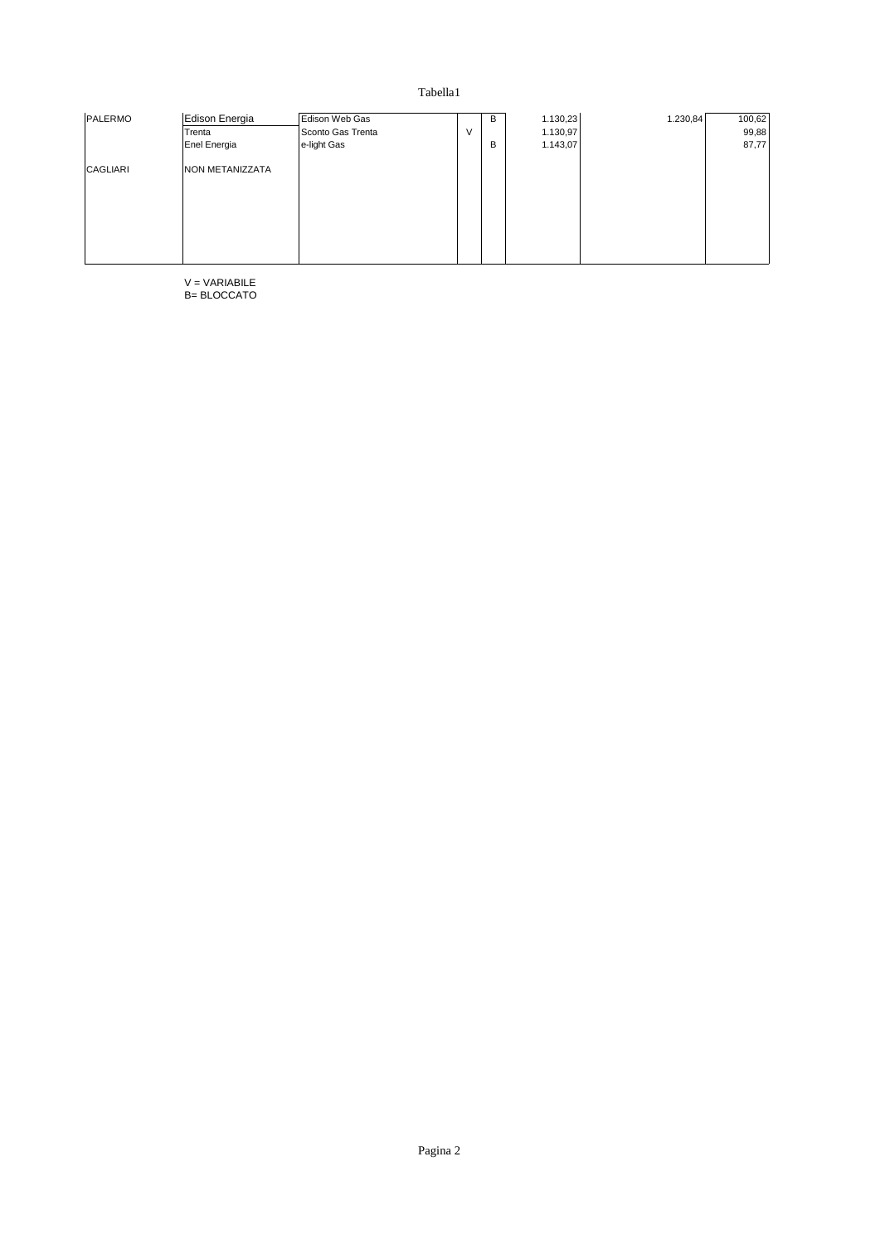| PALERMO  | Edison Energia  | Edison Web Gas    |   | B | 1.130,23 | 1.230,84 | 100,62 |
|----------|-----------------|-------------------|---|---|----------|----------|--------|
|          | Trenta          | Sconto Gas Trenta | V |   | 1.130,97 |          | 99,88  |
|          | Enel Energia    | e-light Gas       |   | B | 1.143,07 |          | 87,77  |
| CAGLIARI | NON METANIZZATA |                   |   |   |          |          |        |
|          |                 |                   |   |   |          |          |        |
|          |                 |                   |   |   |          |          |        |
|          |                 |                   |   |   |          |          |        |
|          |                 |                   |   |   |          |          |        |
|          |                 |                   |   |   |          |          |        |

V = VARIABILE B= BLOCCATO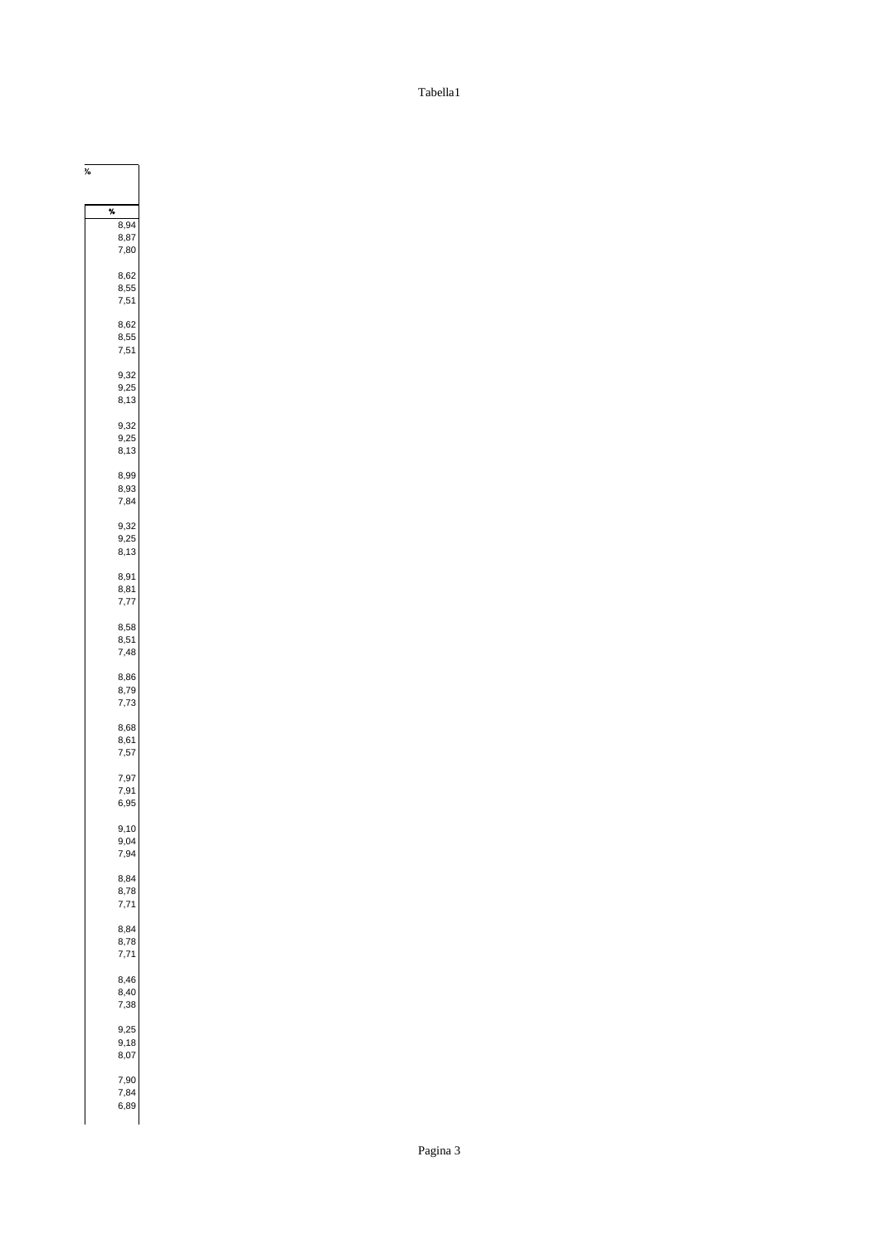